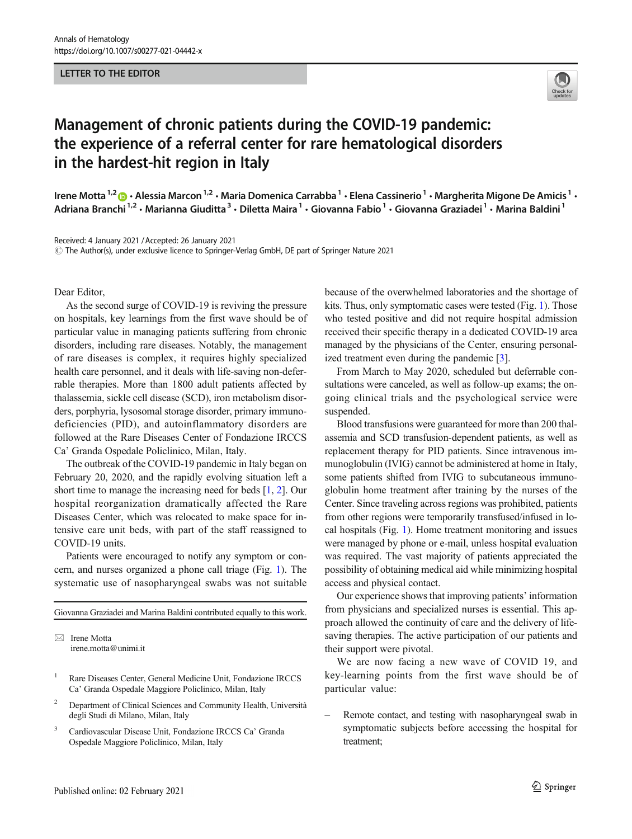## LETTER TO THE EDITOR



## Management of chronic patients during the COVID-19 pandemic: the experience of a referral center for rare hematological disorders in the hardest-hit region in Italy

Irene Motta<sup>1,2</sup>  $\cdot$  Alessia Marcon<sup>1,2</sup>  $\cdot$  Maria Domenica Carrabba<sup>1</sup>  $\cdot$  Elena Cassinerio<sup>1</sup>  $\cdot$  Margherita Migone De Amicis<sup>1</sup>  $\cdot$ Adriana Branchi<sup>1,2</sup> • Marianna Giuditta<sup>3</sup> • Diletta Maira<sup>1</sup> • Giovanna Fabio<sup>1</sup> • Giovanna Graziadei<sup>1</sup> • Marina Baldini<sup>1</sup>

Received: 4 January 2021 /Accepted: 26 January 2021

 $\copyright$  The Author(s), under exclusive licence to Springer-Verlag GmbH, DE part of Springer Nature 2021

Dear Editor,

As the second surge of COVID-19 is reviving the pressure on hospitals, key learnings from the first wave should be of particular value in managing patients suffering from chronic disorders, including rare diseases. Notably, the management of rare diseases is complex, it requires highly specialized health care personnel, and it deals with life-saving non-deferrable therapies. More than 1800 adult patients affected by thalassemia, sickle cell disease (SCD), iron metabolism disorders, porphyria, lysosomal storage disorder, primary immunodeficiencies (PID), and autoinflammatory disorders are followed at the Rare Diseases Center of Fondazione IRCCS Ca' Granda Ospedale Policlinico, Milan, Italy.

The outbreak of the COVID-19 pandemic in Italy began on February 20, 2020, and the rapidly evolving situation left a short time to manage the increasing need for beds [[1,](#page-2-0) [2\]](#page-2-0). Our hospital reorganization dramatically affected the Rare Diseases Center, which was relocated to make space for intensive care unit beds, with part of the staff reassigned to COVID-19 units.

Patients were encouraged to notify any symptom or concern, and nurses organized a phone call triage (Fig. [1\)](#page-1-0). The systematic use of nasopharyngeal swabs was not suitable

Giovanna Graziadei and Marina Baldini contributed equally to this work.

 $\boxtimes$  Irene Motta [irene.motta@unimi.it](mailto:irene.motta@unimi.it)

- <sup>1</sup> Rare Diseases Center, General Medicine Unit, Fondazione IRCCS Ca' Granda Ospedale Maggiore Policlinico, Milan, Italy
- <sup>2</sup> Department of Clinical Sciences and Community Health, Università degli Studi di Milano, Milan, Italy
- <sup>3</sup> Cardiovascular Disease Unit, Fondazione IRCCS Ca' Granda Ospedale Maggiore Policlinico, Milan, Italy

because of the overwhelmed laboratories and the shortage of kits. Thus, only symptomatic cases were tested (Fig. [1\)](#page-1-0). Those who tested positive and did not require hospital admission received their specific therapy in a dedicated COVID-19 area managed by the physicians of the Center, ensuring personalized treatment even during the pandemic [[3\]](#page-2-0).

From March to May 2020, scheduled but deferrable consultations were canceled, as well as follow-up exams; the ongoing clinical trials and the psychological service were suspended.

Blood transfusions were guaranteed for more than 200 thalassemia and SCD transfusion-dependent patients, as well as replacement therapy for PID patients. Since intravenous immunoglobulin (IVIG) cannot be administered at home in Italy, some patients shifted from IVIG to subcutaneous immunoglobulin home treatment after training by the nurses of the Center. Since traveling across regions was prohibited, patients from other regions were temporarily transfused/infused in local hospitals (Fig. [1\)](#page-1-0). Home treatment monitoring and issues were managed by phone or e-mail, unless hospital evaluation was required. The vast majority of patients appreciated the possibility of obtaining medical aid while minimizing hospital access and physical contact.

Our experience shows that improving patients' information from physicians and specialized nurses is essential. This approach allowed the continuity of care and the delivery of lifesaving therapies. The active participation of our patients and their support were pivotal.

We are now facing a new wave of COVID 19, and key-learning points from the first wave should be of particular value:

– Remote contact, and testing with nasopharyngeal swab in symptomatic subjects before accessing the hospital for treatment;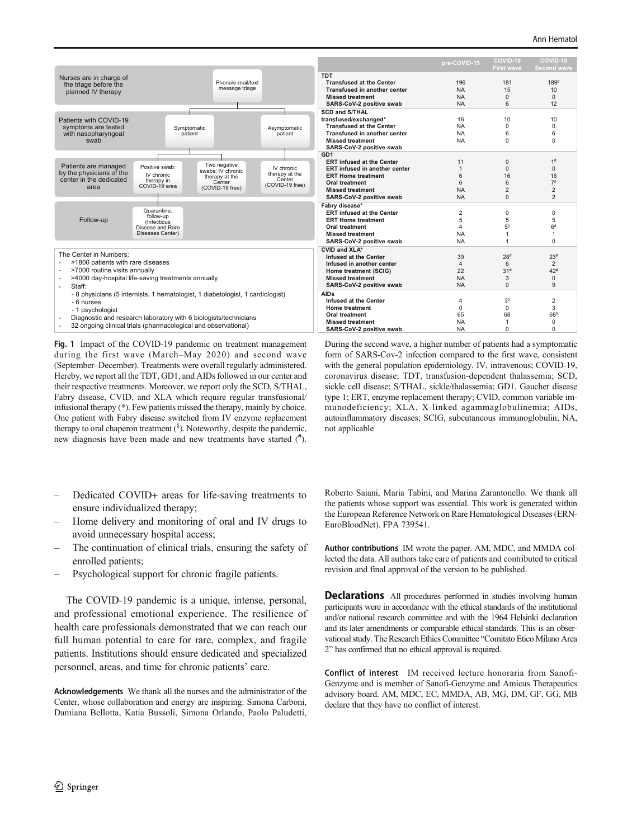<span id="page-1-0"></span>

Fig. 1 Impact of the COVID-19 pandemic on treatment management during the first wave (March–May 2020) and second wave (September–December). Treatments were overall regularly administered. Hereby, we report all the TDT, GD1, and AIDs followed in our center and their respective treatments. Moreover, we report only the SCD, S/THAL, Fabry disease, CVID, and XLA which require regular transfusional/ infusional therapy (\*). Few patients missed the therapy, mainly by choice. One patient with Fabry disease switched from IV enzyme replacement therapy to oral chaperon treatment (§). Noteworthy, despite the pandemic, new diagnosis have been made and new treatments have started (# ).

- During the second wave, a higher number of patients had a symptomatic form of SARS-Cov-2 infection compared to the first wave, consistent with the general population epidemiology. IV, intravenous; COVID-19, coronavirus disease; TDT, transfusion-dependent thalassemia; SCD, sickle cell disease; S/THAL, sickle/thalassemia; GD1, Gaucher disease type 1; ERT, enzyme replacement therapy; CVID, common variable immunodeficiency; XLA, X-linked agammaglobulinemia; AIDs, autoinflammatory diseases; SCIG, subcutaneous immunoglobulin; NA, not applicable
- Dedicated COVID+ areas for life-saving treatments to ensure individualized therapy;
- Home delivery and monitoring of oral and IV drugs to avoid unnecessary hospital access;
- The continuation of clinical trials, ensuring the safety of enrolled patients;
- Psychological support for chronic fragile patients.

The COVID-19 pandemic is a unique, intense, personal, and professional emotional experience. The resilience of health care professionals demonstrated that we can reach our full human potential to care for rare, complex, and fragile patients. Institutions should ensure dedicated and specialized personnel, areas, and time for chronic patients' care.

Acknowledgements We thank all the nurses and the administrator of the Center, whose collaboration and energy are inspiring: Simona Carboni, Damiana Bellotta, Katia Bussoli, Simona Orlando, Paolo Paludetti,

Roberto Saiani, Maria Tabini, and Marina Zarantonello. We thank all the patients whose support was essential. This work is generated within the European Reference Network on Rare Hematological Diseases (ERN-EuroBloodNet). FPA 739541.

Author contributions IM wrote the paper. AM, MDC, and MMDA collected the data. All authors take care of patients and contributed to critical revision and final approval of the version to be published.

**Declarations** All procedures performed in studies involving human participants were in accordance with the ethical standards of the institutional and/or national research committee and with the 1964 Helsinki declaration and its later amendments or comparable ethical standards. This is an observational study. The Research Ethics Committee "Comitato Etico Milano Area 2" has confirmed that no ethical approval is required.

Conflict of interest IM received lecture honoraria from Sanofi-Genzyme and is member of Sanofi-Genzyme and Amicus Therapeutics advisory board. AM, MDC, EC, MMDA, AB, MG, DM, GF, GG, MB declare that they have no conflict of interest.